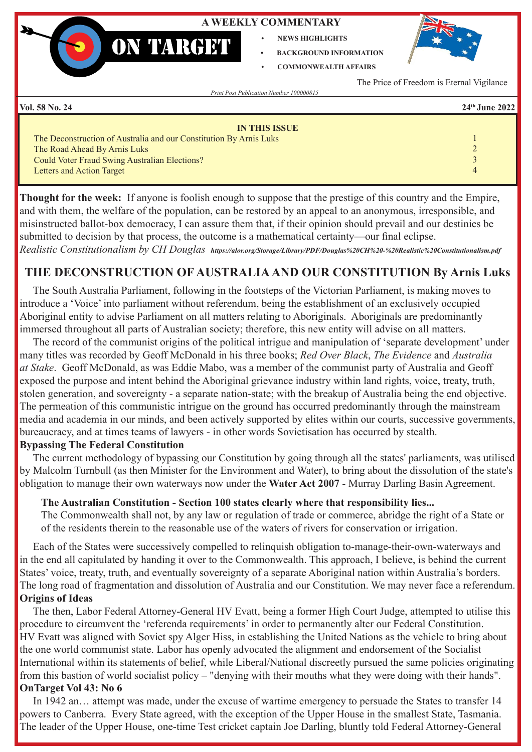### **A WEEKLY COMMENTARY**

- **• NEWS HIGHLIGHTS**
- **• BACKGROUND INFORMATION • COMMONWEALTH AFFAIRS**



The Price of Freedom is Eternal Vigilance

*Print Post Publication Number 100000815*

**ON TARGET** 

**Vol. 58 No. 24 24th June 2022**

| <b>IN THIS ISSUE</b>                                               |          |
|--------------------------------------------------------------------|----------|
| The Deconstruction of Australia and our Constitution By Arnis Luks |          |
| The Road Ahead By Arnis Luks                                       |          |
| Could Voter Fraud Swing Australian Elections?                      |          |
| Letters and Action Target                                          | $\Delta$ |
|                                                                    |          |

**Thought for the week:**If anyone is foolish enough to suppose that the prestige of this country and the Empire, and with them, the welfare of the population, can be restored by an appeal to an anonymous, irresponsible, and misinstructed ballot-box democracy, I can assure them that, if their opinion should prevail and our destinies be submitted to decision by that process, the outcome is a mathematical certainty—our final eclipse.

*Realistic Constitutionalism by CH Douglas https://alor.org/Storage/Library/PDF/Douglas%20CH%20-%20Realistic%20Constitutionalism.pdf*

# **THE DECONSTRUCTION OF AUSTRALIA AND OUR CONSTITUTION By Arnis Luks**

 The South Australia Parliament, following in the footsteps of the Victorian Parliament, is making moves to introduce a 'Voice' into parliament without referendum, being the establishment of an exclusively occupied Aboriginal entity to advise Parliament on all matters relating to Aboriginals. Aboriginals are predominantly immersed throughout all parts of Australian society; therefore, this new entity will advise on all matters.

 The record of the communist origins of the political intrigue and manipulation of 'separate development' under many titles was recorded by Geoff McDonald in his three books; *Red Over Black*, *The Evidence* and *Australia at Stake*. Geoff McDonald, as was Eddie Mabo, was a member of the communist party of Australia and Geoff exposed the purpose and intent behind the Aboriginal grievance industry within land rights, voice, treaty, truth, stolen generation, and sovereignty - a separate nation-state; with the breakup of Australia being the end objective. The permeation of this communistic intrigue on the ground has occurred predominantly through the mainstream media and academia in our minds, and been actively supported by elites within our courts, successive governments, bureaucracy, and at times teams of lawyers - in other words Sovietisation has occurred by stealth.

# **Bypassing The Federal Constitution**

 The current methodology of bypassing our Constitution by going through all the states' parliaments, was utilised by Malcolm Turnbull (as then Minister for the Environment and Water), to bring about the dissolution of the state's obligation to manage their own waterways now under the **Water Act 2007** - Murray Darling Basin Agreement.

# **The Australian Constitution - Section 100 states clearly where that responsibility lies...**

The Commonwealth shall not, by any law or regulation of trade or commerce, abridge the right of a State or of the residents therein to the reasonable use of the waters of rivers for conservation or irrigation.

 Each of the States were successively compelled to relinquish obligation to-manage-their-own-waterways and in the end all capitulated by handing it over to the Commonwealth. This approach, I believe, is behind the current States' voice, treaty, truth, and eventually sovereignty of a separate Aboriginal nation within Australia's borders. The long road of fragmentation and dissolution of Australia and our Constitution. We may never face a referendum. **Origins of Ideas**

 The then, Labor Federal Attorney-General HV Evatt, being a former High Court Judge, attempted to utilise this procedure to circumvent the 'referenda requirements' in order to permanently alter our Federal Constitution. HV Evatt was aligned with Soviet spy Alger Hiss, in establishing the United Nations as the vehicle to bring about the one world communist state. Labor has openly advocated the alignment and endorsement of the Socialist International within its statements of belief, while Liberal/National discreetly pursued the same policies originating from this bastion of world socialist policy – "denying with their mouths what they were doing with their hands". **OnTarget Vol 43: No 6**

 In 1942 an… attempt was made, under the excuse of wartime emergency to persuade the States to transfer 14 powers to Canberra. Every State agreed, with the exception of the Upper House in the smallest State, Tasmania. The leader of the Upper House, one-time Test cricket captain Joe Darling, bluntly told Federal Attorney-General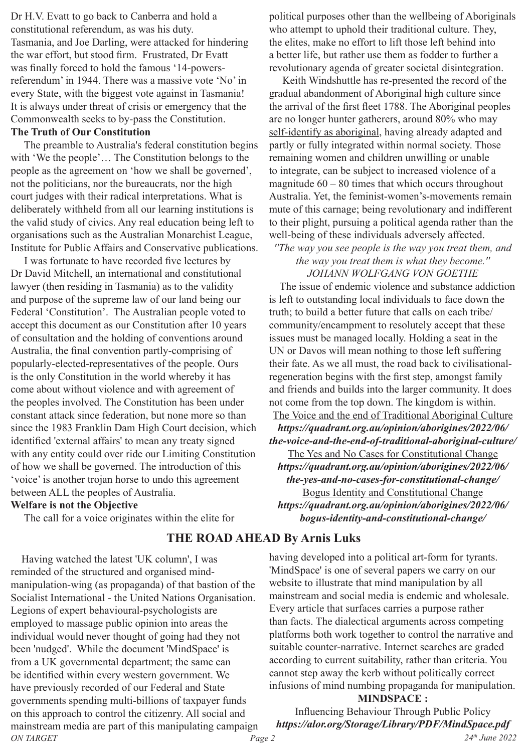Dr H.V. Evatt to go back to Canberra and hold a constitutional referendum, as was his duty. Tasmania, and Joe Darling, were attacked for hindering the war effort, but stood firm. Frustrated, Dr Evatt was finally forced to hold the famous '14-powersreferendum' in 1944. There was a massive vote 'No' in every State, with the biggest vote against in Tasmania! It is always under threat of crisis or emergency that the Commonwealth seeks to by-pass the Constitution.

#### **The Truth of Our Constitution**

 The preamble to Australia's federal constitution begins with 'We the people'… The Constitution belongs to the people as the agreement on 'how we shall be governed', not the politicians, nor the bureaucrats, nor the high court judges with their radical interpretations. What is deliberately withheld from all our learning institutions is the valid study of civics. Any real education being left to organisations such as the Australian Monarchist League, Institute for Public Affairs and Conservative publications.

 I was fortunate to have recorded five lectures by Dr David Mitchell, an international and constitutional lawyer (then residing in Tasmania) as to the validity and purpose of the supreme law of our land being our Federal 'Constitution'. The Australian people voted to accept this document as our Constitution after 10 years of consultation and the holding of conventions around Australia, the final convention partly-comprising of popularly-elected-representatives of the people. Ours is the only Constitution in the world whereby it has come about without violence and with agreement of the peoples involved. The Constitution has been under constant attack since federation, but none more so than since the 1983 Franklin Dam High Court decision, which identified 'external affairs' to mean any treaty signed with any entity could over ride our Limiting Constitution of how we shall be governed. The introduction of this 'voice' is another trojan horse to undo this agreement between ALL the peoples of Australia.

#### **Welfare is not the Objective**

The call for a voice originates within the elite for

*ON TARGET Page 2 24th June 2022* Having watched the latest 'UK column', I was reminded of the structured and organised mindmanipulation-wing (as propaganda) of that bastion of the Socialist International - the United Nations Organisation. Legions of expert behavioural-psychologists are employed to massage public opinion into areas the individual would never thought of going had they not been 'nudged'. While the document 'MindSpace' is from a UK governmental department; the same can be identified within every western government. We have previously recorded of our Federal and State governments spending multi-billions of taxpayer funds on this approach to control the citizenry. All social and mainstream media are part of this manipulating campaign

political purposes other than the wellbeing of Aboriginals who attempt to uphold their traditional culture. They, the elites, make no effort to lift those left behind into a better life, but rather use them as fodder to further a revolutionary agenda of greater societal disintegration.

 Keith Windshuttle has re-presented the record of the gradual abandonment of Aboriginal high culture since the arrival of the first fleet 1788. The Aboriginal peoples are no longer hunter gatherers, around 80% who may self-identify as aboriginal, having already adapted and partly or fully integrated within normal society. Those remaining women and children unwilling or unable to integrate, can be subject to increased violence of a magnitude  $60 - 80$  times that which occurs throughout Australia. Yet, the feminist-women's-movements remain mute of this carnage; being revolutionary and indifferent to their plight, pursuing a political agenda rather than the well-being of these individuals adversely affected.

#### *''The way you see people is the way you treat them, and the way you treat them is what they become.'' JOHANN WOLFGANG VON GOETHE*

 The issue of endemic violence and substance addiction is left to outstanding local individuals to face down the truth; to build a better future that calls on each tribe/ community/encampment to resolutely accept that these issues must be managed locally. Holding a seat in the UN or Davos will mean nothing to those left suffering their fate. As we all must, the road back to civilisationalregeneration begins with the first step, amongst family and friends and builds into the larger community. It does not come from the top down. The kingdom is within.

The Voice and the end of Traditional Aboriginal Culture *https://quadrant.org.au/opinion/aborigines/2022/06/ the-voice-and-the-end-of-traditional-aboriginal-culture/* The Yes and No Cases for Constitutional Change *https://quadrant.org.au/opinion/aborigines/2022/06/ the-yes-and-no-cases-for-constitutional-change/* Bogus Identity and Constitutional Change *https://quadrant.org.au/opinion/aborigines/2022/06/ bogus-identity-and-constitutional-change/*

# **THE ROAD AHEAD By Arnis Luks**

having developed into a political art-form for tyrants. 'MindSpace' is one of several papers we carry on our website to illustrate that mind manipulation by all mainstream and social media is endemic and wholesale. Every article that surfaces carries a purpose rather than facts. The dialectical arguments across competing platforms both work together to control the narrative and suitable counter-narrative. Internet searches are graded according to current suitability, rather than criteria. You cannot step away the kerb without politically correct infusions of mind numbing propaganda for manipulation.

#### **MINDSPACE :**

Influencing Behaviour Through Public Policy *https://alor.org/Storage/Library/PDF/MindSpace.pdf*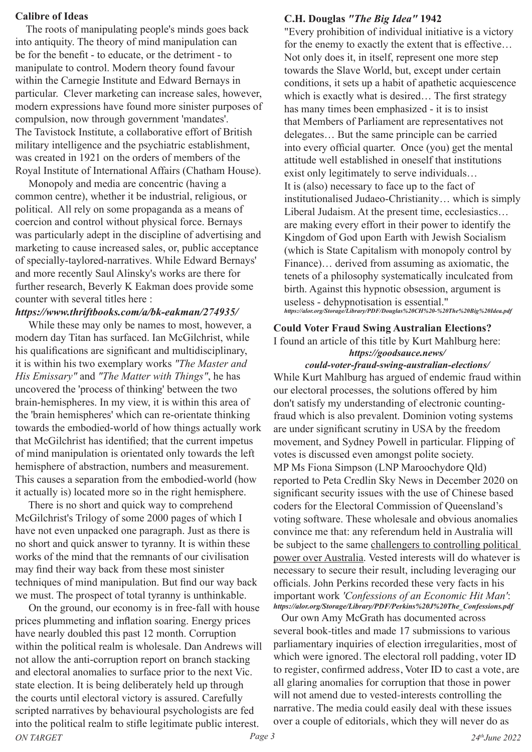#### **Calibre of Ideas**

 The roots of manipulating people's minds goes back into antiquity. The theory of mind manipulation can be for the benefit - to educate, or the detriment - to manipulate to control. Modern theory found favour within the Carnegie Institute and Edward Bernays in particular. Clever marketing can increase sales, however, modern expressions have found more sinister purposes of compulsion, now through government 'mandates'. The Tavistock Institute, a collaborative effort of British military intelligence and the psychiatric establishment, was created in 1921 on the orders of members of the Royal Institute of International Affairs (Chatham House).

 Monopoly and media are concentric (having a common centre), whether it be industrial, religious, or political. All rely on some propaganda as a means of coercion and control without physical force. Bernays was particularly adept in the discipline of advertising and marketing to cause increased sales, or, public acceptance of specially-taylored-narratives. While Edward Bernays' and more recently Saul Alinsky's works are there for further research, Beverly K Eakman does provide some counter with several titles here :

# *https://www.thriftbooks.com/a/bk-eakman/274935/*

 While these may only be names to most, however, a modern day Titan has surfaced. Ian McGilchrist, while his qualifications are significant and multidisciplinary, it is within his two exemplary works *"The Master and His Emissary"* and *"The Matter with Things"*, he has uncovered the 'process of thinking' between the two brain-hemispheres. In my view, it is within this area of the 'brain hemispheres' which can re-orientate thinking towards the embodied-world of how things actually work that McGilchrist has identified; that the current impetus of mind manipulation is orientated only towards the left hemisphere of abstraction, numbers and measurement. This causes a separation from the embodied-world (how it actually is) located more so in the right hemisphere.

 There is no short and quick way to comprehend McGilchrist's Trilogy of some 2000 pages of which I have not even unpacked one paragraph. Just as there is no short and quick answer to tyranny. It is within these works of the mind that the remnants of our civilisation may find their way back from these most sinister techniques of mind manipulation. But find our way back we must. The prospect of total tyranny is unthinkable.

*ON TARGET Page 3 24thJune 2022* On the ground, our economy is in free-fall with house prices plummeting and inflation soaring. Energy prices have nearly doubled this past 12 month. Corruption within the political realm is wholesale. Dan Andrews will not allow the anti-corruption report on branch stacking and electoral anomalies to surface prior to the next Vic. state election. It is being deliberately held up through the courts until electoral victory is assured. Carefully scripted narratives by behavioural psychologists are fed into the political realm to stifle legitimate public interest.

#### **C.H. Douglas** *"The Big Idea"* **1942**

"Every prohibition of individual initiative is a victory for the enemy to exactly the extent that is effective… Not only does it, in itself, represent one more step towards the Slave World, but, except under certain conditions, it sets up a habit of apathetic acquiescence which is exactly what is desired… The first strategy has many times been emphasized - it is to insist that Members of Parliament are representatives not delegates… But the same principle can be carried into every official quarter. Once (you) get the mental attitude well established in oneself that institutions exist only legitimately to serve individuals… It is (also) necessary to face up to the fact of institutionalised Judaeo-Christianity… which is simply Liberal Judaism. At the present time, ecclesiastics… are making every effort in their power to identify the Kingdom of God upon Earth with Jewish Socialism (which is State Capitalism with monopoly control by Finance)… derived from assuming as axiomatic, the tenets of a philosophy systematically inculcated from birth. Against this hypnotic obsession, argument is useless - dehypnotisation is essential." *https://alor.org/Storage/Library/PDF/Douglas%20CH%20-%20The%20Big%20Idea.pdf*

# **Could Voter Fraud Swing Australian Elections?**

#### I found an article of this title by Kurt Mahlburg here: *https://goodsauce.news/*

*could-voter-fraud-swing-australian-elections/* While Kurt Mahlburg has argued of endemic fraud within our electoral processes, the solutions offered by him don't satisfy my understanding of electronic countingfraud which is also prevalent. Dominion voting systems are under significant scrutiny in USA by the freedom movement, and Sydney Powell in particular. Flipping of votes is discussed even amongst polite society. MP Ms Fiona Simpson (LNP Maroochydore Qld) reported to Peta Credlin Sky News in December 2020 on significant security issues with the use of Chinese based coders for the Electoral Commission of Queensland's voting software. These wholesale and obvious anomalies convince me that: any referendum held in Australia will be subject to the same challengers to controlling political power over Australia. Vested interests will do whatever is necessary to secure their result, including leveraging our officials. John Perkins recorded these very facts in his important work *'Confessions of an Economic Hit Man'*: *https://alor.org/Storage/Library/PDF/Perkins%20J%20The\_Confessions.pdf*

 Our own Amy McGrath has documented across several book-titles and made 17 submissions to various parliamentary inquiries of election irregularities, most of which were ignored. The electoral roll padding, voter ID to register, confirmed address, Voter ID to cast a vote, are all glaring anomalies for corruption that those in power will not amend due to vested-interests controlling the narrative. The media could easily deal with these issues over a couple of editorials, which they will never do as